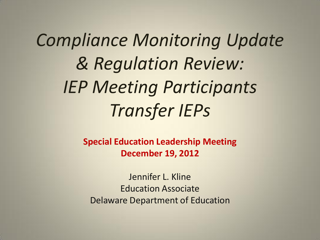*Compliance Monitoring Update & Regulation Review: IEP Meeting Participants Transfer IEPs* 

> **Special Education Leadership Meeting December 19, 2012**

Jennifer L. Kline Education Associate Delaware Department of Education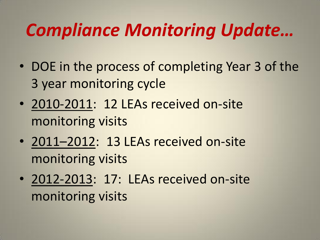# *Compliance Monitoring Update…*

- DOE in the process of completing Year 3 of the 3 year monitoring cycle
- 2010-2011: 12 LEAs received on-site monitoring visits
- 2011–2012: 13 LEAs received on-site monitoring visits
- 2012-2013: 17: LEAs received on-site monitoring visits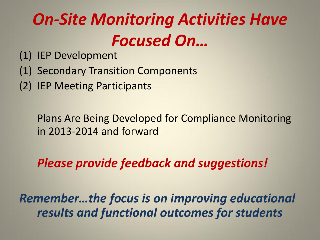# *On-Site Monitoring Activities Have Focused On…*

- (1) IEP Development
- (1) Secondary Transition Components
- (2) IEP Meeting Participants

Plans Are Being Developed for Compliance Monitoring in 2013-2014 and forward

*Please provide feedback and suggestions!* 

*Remember…the focus is on improving educational results and functional outcomes for students*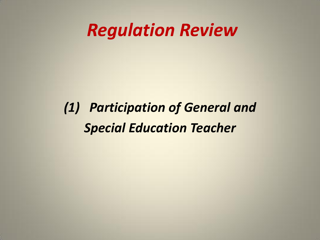### *(1) Participation of General and Special Education Teacher*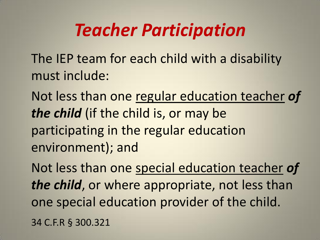## *Teacher Participation*

The IEP team for each child with a disability must include:

Not less than one regular education teacher *of the child* (if the child is, or may be participating in the regular education environment); and

Not less than one special education teacher *of the child*, or where appropriate, not less than one special education provider of the child. 34 C.F.R § 300.321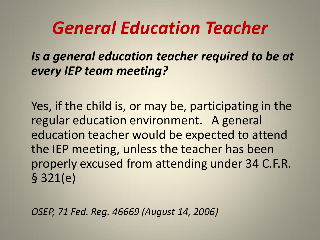*Is a general education teacher required to be at every IEP team meeting?* 

Yes, if the child is, or may be, participating in the regular education environment. A general education teacher would be expected to attend the IEP meeting, unless the teacher has been properly excused from attending under 34 C.F.R. § 321(e)

*OSEP, 71 Fed. Reg. 46669 (August 14, 2006)*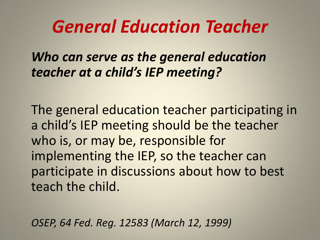*Who can serve as the general education teacher at a child's IEP meeting?*

The general education teacher participating in a child's IEP meeting should be the teacher who is, or may be, responsible for implementing the IEP, so the teacher can participate in discussions about how to best teach the child.

*OSEP, 64 Fed. Reg. 12583 (March 12, 1999)*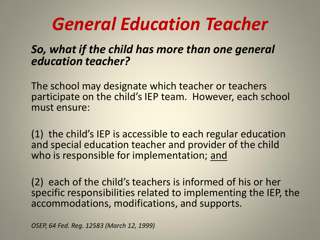#### *So, what if the child has more than one general education teacher?*

The school may designate which teacher or teachers participate on the child's IEP team. However, each school must ensure:

(1) the child's IEP is accessible to each regular education and special education teacher and provider of the child who is responsible for implementation; and

(2) each of the child's teachers is informed of his or her specific responsibilities related to implementing the IEP, the accommodations, modifications, and supports.

*OSEP, 64 Fed. Reg. 12583 (March 12, 1999)*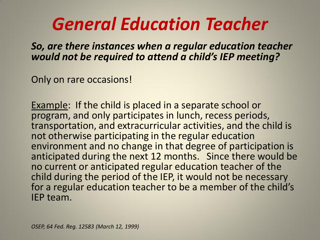*So, are there instances when a regular education teacher would not be required to attend a child's IEP meeting?* 

Only on rare occasions!

Example: If the child is placed in a separate school or program, and only participates in lunch, recess periods, transportation, and extracurricular activities, and the child is not otherwise participating in the regular education environment and no change in that degree of participation is anticipated during the next 12 months. Since there would be no current or anticipated regular education teacher of the child during the period of the IEP, it would not be necessary for a regular education teacher to be a member of the child's IEP team.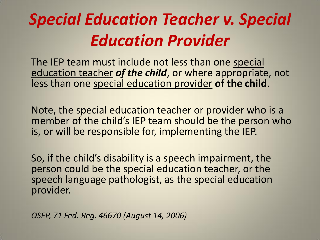# *Special Education Teacher v. Special Education Provider*

The IEP team must include not less than one special education teacher *of the child*, or where appropriate, not less than one special education provider **of the child**.

Note, the special education teacher or provider who is a member of the child's IEP team should be the person who is, or will be responsible for, implementing the IEP.

So, if the child's disability is a speech impairment, the person could be the special education teacher, or the speech language pathologist, as the special education provider.

*OSEP, 71 Fed. Reg. 46670 (August 14, 2006)*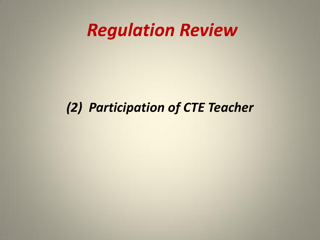### *(2) Participation of CTE Teacher*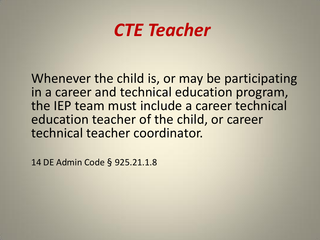## *CTE Teacher*

Whenever the child is, or may be participating in a career and technical education program, the IEP team must include a career technical education teacher of the child, or career technical teacher coordinator.

14 DE Admin Code § 925.21.1.8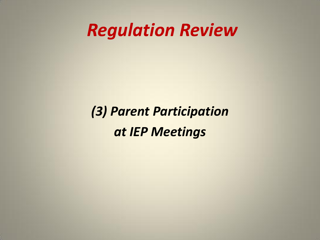### *(3) Parent Participation at IEP Meetings*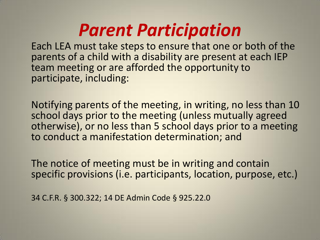## *Parent Participation*

Each LEA must take steps to ensure that one or both of the parents of a child with a disability are present at each IEP team meeting or are afforded the opportunity to participate, including:

Notifying parents of the meeting, in writing, no less than 10 school days prior to the meeting (unless mutually agreed otherwise), or no less than 5 school days prior to a meeting to conduct a manifestation determination; and

The notice of meeting must be in writing and contain specific provisions (i.e. participants, location, purpose, etc.)

34 C.F.R. § 300.322; 14 DE Admin Code § 925.22.0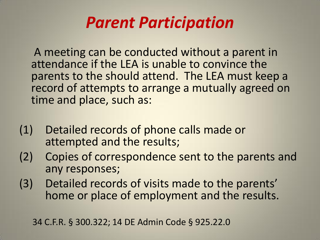### *Parent Participation*

A meeting can be conducted without a parent in attendance if the LEA is unable to convince the parents to the should attend. The LEA must keep a record of attempts to arrange a mutually agreed on time and place, such as:

- (1) Detailed records of phone calls made or attempted and the results;
- (2) Copies of correspondence sent to the parents and any responses;
- (3) Detailed records of visits made to the parents' home or place of employment and the results.

34 C.F.R. § 300.322; 14 DE Admin Code § 925.22.0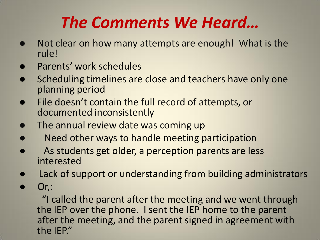## *The Comments We Heard…*

- Not clear on how many attempts are enough! What is the rule!
- Parents' work schedules
- Scheduling timelines are close and teachers have only one planning period
- File doesn't contain the full record of attempts, or documented inconsistently
- The annual review date was coming up
- Need other ways to handle meeting participation
- As students get older, a perception parents are less interested
- Lack of support or understanding from building administrators
- $Or.$ :

 "I called the parent after the meeting and we went through the IEP over the phone. I sent the IEP home to the parent after the meeting, and the parent signed in agreement with the IEP."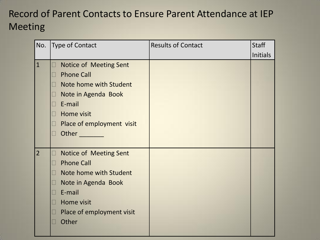#### Record of Parent Contacts to Ensure Parent Attendance at IEP Meeting

| No.            | Type of Contact                          | <b>Results of Contact</b> | <b>Staff</b>    |
|----------------|------------------------------------------|---------------------------|-----------------|
|                |                                          |                           | <b>Initials</b> |
| $\mathbf{1}$   | Notice of Meeting Sent<br>$\Box$         |                           |                 |
|                | <b>Phone Call</b><br>П                   |                           |                 |
|                | Note home with Student<br>$\Box$         |                           |                 |
|                | Note in Agenda Book<br>Ш                 |                           |                 |
|                | E-mail<br>Ш                              |                           |                 |
|                | Home visit<br>П                          |                           |                 |
|                | Place of employment visit<br>$\Box$      |                           |                 |
|                | Other<br>$\Box$                          |                           |                 |
|                |                                          |                           |                 |
| $\overline{2}$ | Notice of Meeting Sent<br>$\Box$         |                           |                 |
|                | <b>Phone Call</b><br>П                   |                           |                 |
|                | Note home with Student<br>$\blacksquare$ |                           |                 |
|                | Note in Agenda Book<br>$\Box$            |                           |                 |
|                | E-mail<br>Н                              |                           |                 |
|                | Home visit<br>П                          |                           |                 |
|                | Place of employment visit<br>$\Box$      |                           |                 |
|                | Other<br>П                               |                           |                 |
|                |                                          |                           |                 |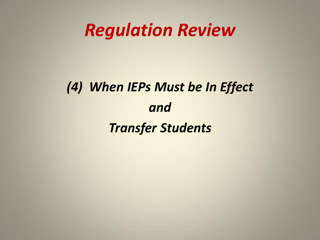## *(4) When IEPs Must be In Effect and Transfer Students*